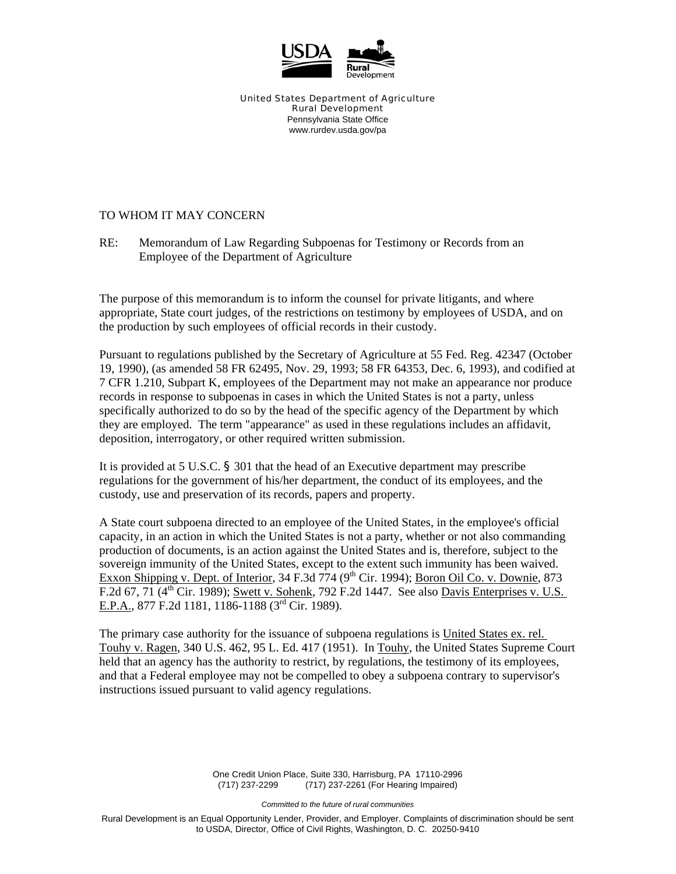

United States Department of Agriculture Rural Development Pennsylvania State Office www.rurdev.usda.gov/pa

## TO WHOM IT MAY CONCERN

RE: Memorandum of Law Regarding Subpoenas for Testimony or Records from an Employee of the Department of Agriculture

The purpose of this memorandum is to inform the counsel for private litigants, and where appropriate, State court judges, of the restrictions on testimony by employees of USDA, and on the production by such employees of official records in their custody.

Pursuant to regulations published by the Secretary of Agriculture at 55 Fed. Reg. 42347 (October 19, 1990), (as amended 58 FR 62495, Nov. 29, 1993; 58 FR 64353, Dec. 6, 1993), and codified at 7 CFR 1.210, Subpart K, employees of the Department may not make an appearance nor produce records in response to subpoenas in cases in which the United States is not a party, unless specifically authorized to do so by the head of the specific agency of the Department by which they are employed. The term "appearance" as used in these regulations includes an affidavit, deposition, interrogatory, or other required written submission.

It is provided at 5 U.S.C. § 301 that the head of an Executive department may prescribe regulations for the government of his/her department, the conduct of its employees, and the custody, use and preservation of its records, papers and property.

A State court subpoena directed to an employee of the United States, in the employee's official capacity, in an action in which the United States is not a party, whether or not also commanding production of documents, is an action against the United States and is, therefore, subject to the sovereign immunity of the United States, except to the extent such immunity has been waived. Exxon Shipping v. Dept. of Interior,  $34$  F.3d  $774$  (9<sup>th</sup> Cir. 1994); Boron Oil Co. v. Downie, 873 F.2d 67, 71 ( $4<sup>th</sup>$  Cir. 1989); Swett v. Sohenk, 792 F.2d 1447. See also Davis Enterprises v. U.S. E.P.A., 877 F.2d 1181, 1186-1188 (3rd Cir. 1989).

The primary case authority for the issuance of subpoena regulations is United States ex. rel. Touhy v. Ragen, 340 U.S. 462, 95 L. Ed. 417 (1951). In Touhy, the United States Supreme Court held that an agency has the authority to restrict, by regulations, the testimony of its employees, and that a Federal employee may not be compelled to obey a subpoena contrary to supervisor's instructions issued pursuant to valid agency regulations.

> One Credit Union Place, Suite 330, Harrisburg, PA 17110-2996 (717) 237-2299 (717) 237-2261 (For Hearing Impaired)

> > *Committed to the future of rural communities*

Rural Development is an Equal Opportunity Lender, Provider, and Employer. Complaints of discrimination should be sent to USDA, Director, Office of Civil Rights, Washington, D. C. 20250-9410